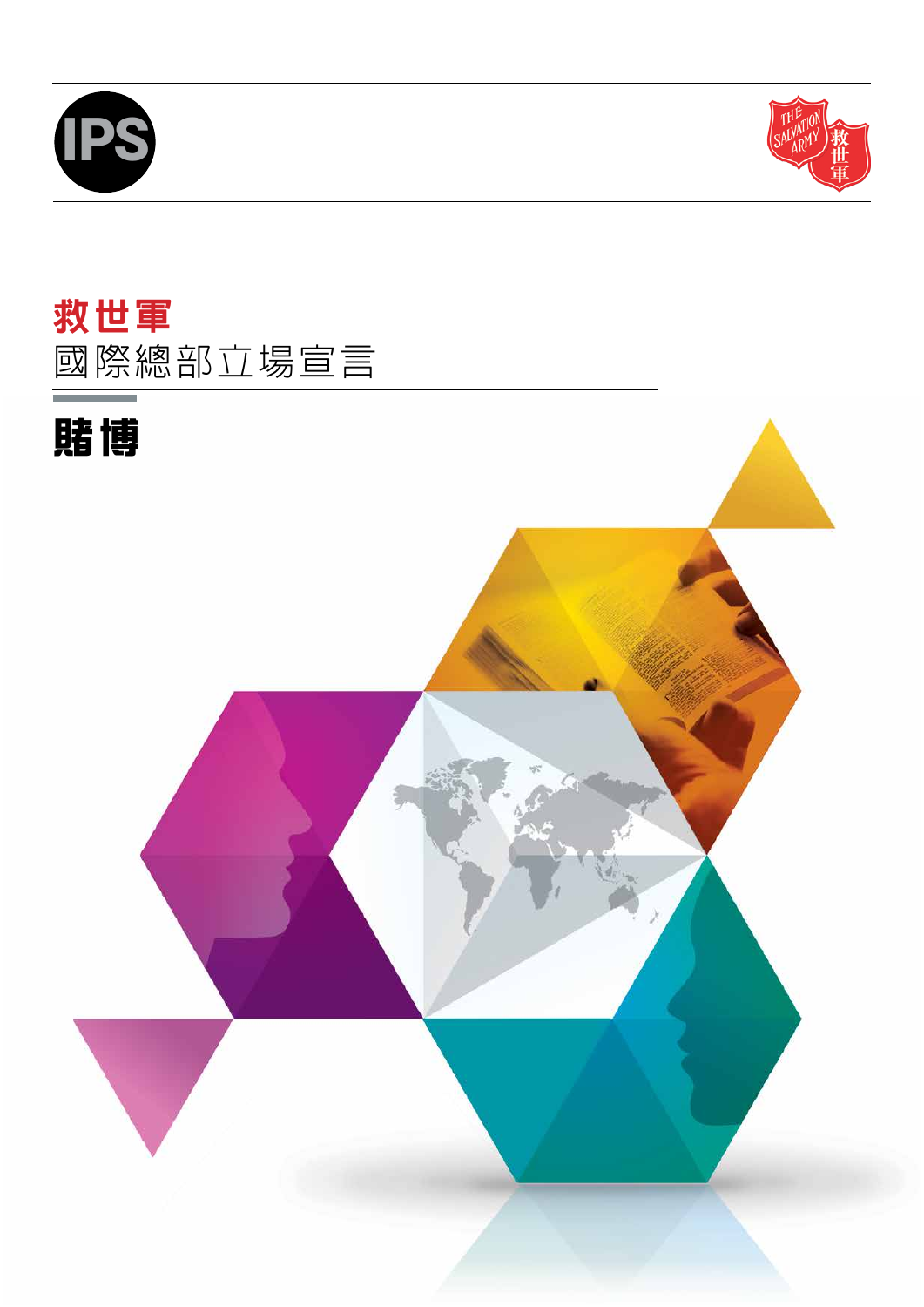



# 救世軍 國際總部立場宣言

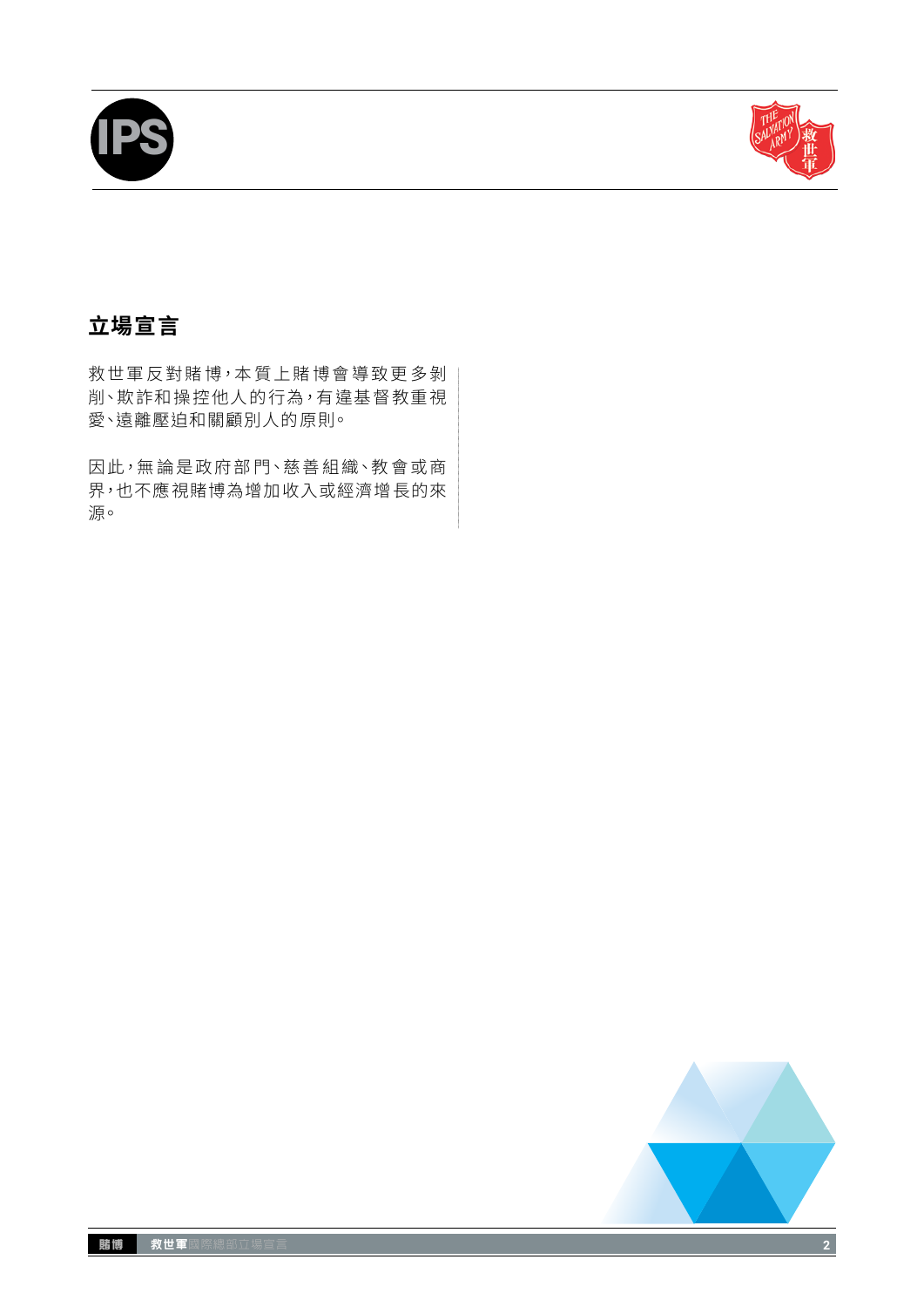



# **立場宣言**

救世軍反對賭博,本質上賭博會導致更多剝 削、欺詐和操控他人的行為,有違基督教重視 愛、遠離壓迫和關顧別人的原則。

因此,無論是政府部門、慈善組織、教會或商 界,也不應視賭博為增加收入或經濟增長的來 源。

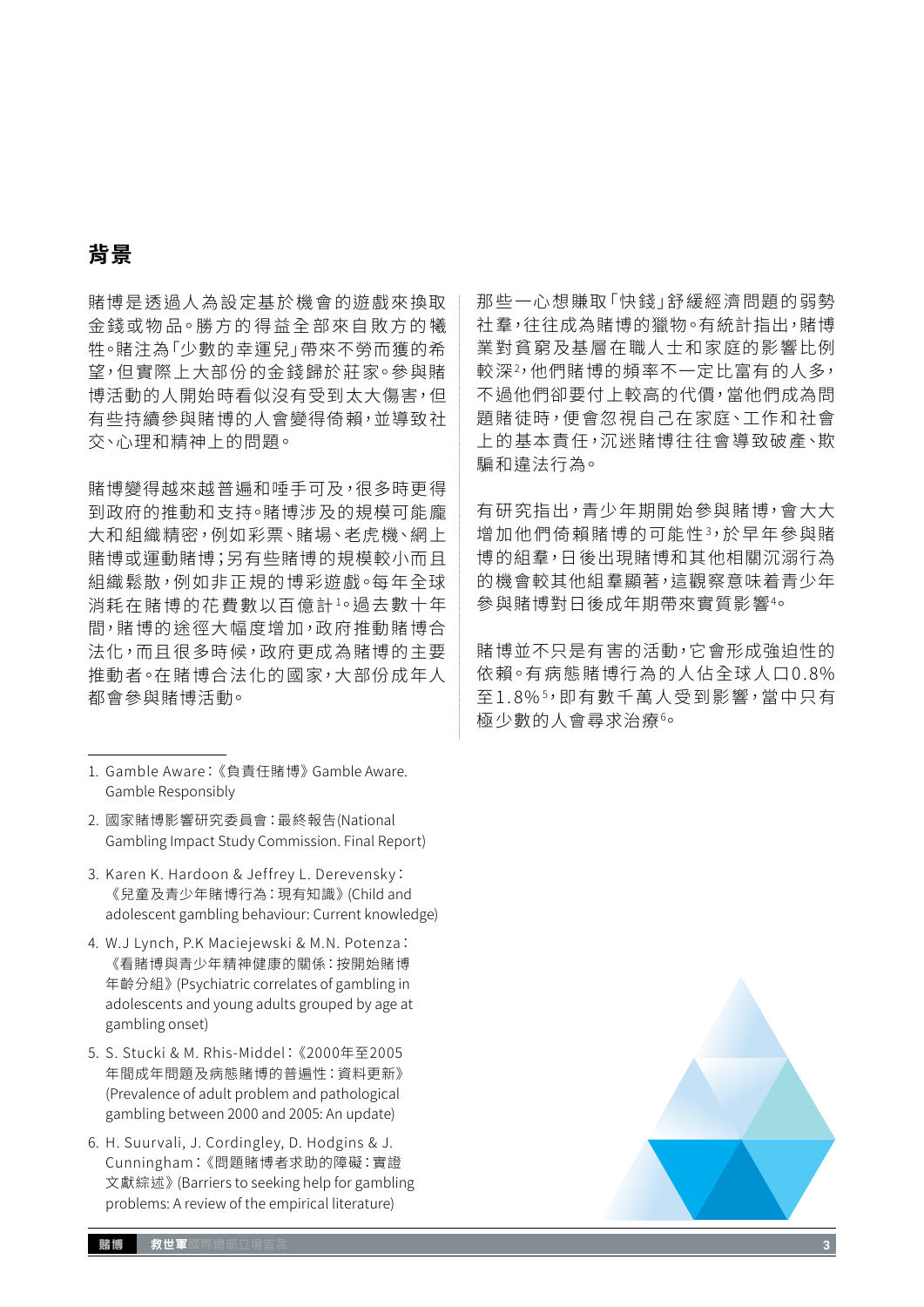# **背景**

賭博是透過人為設定基於機會的遊戲來換取 金錢或物品。勝方的得益全部來自敗方的犧 牲。賭注為「少數的幸運兒」帶來不勞而獲的希 望,但實際上大部份的金錢歸於莊家。參與賭 博活動的人開始時看似沒有受到太大傷害,但 有些持續參與賭博的人會變得倚賴,並導致社 交、心理和精神上的問題。

賭博變得越來越普遍和唾手可及,很多時更得 到政府的推動和支持。賭博涉及的規模可能龐 大和組織精密,例如彩票、賭場、老虎機、網上 賭博或運動賭博;另有些賭博的規模較小而且 組織鬆散,例如非正規的博彩遊戲。每年全球 消耗在賭博的花費數以百億計1 。過去數十年 間,賭博的途徑大幅度增加,政府推動賭博合 法化,而且很多時候,政府更成為賭博的主要 推動者。在賭博合法化的國家,大部份成年人 都會參與賭博活動。

- 2. 國家賭博影響研究委員會:最終報告(National Gambling Impact Study Commission. Final Report)
- 3. Karen K. Hardoon & Jeffrey L. Derevensky: 《兒童及青少年賭博行為:現有知識》(Child and adolescent gambling behaviour: Current knowledge)
- 4. W.J Lynch, P.K Maciejewski & M.N. Potenza: 《看賭博與青少年精神健康的關係:按開始賭博 年齡分組》(Psychiatric correlates of gambling in adolescents and young adults grouped by age at gambling onset)
- 5. S. Stucki & M. Rhis-Middel:《2000年至2005 年間成年問題及病態賭博的普遍性:資料更新》 (Prevalence of adult problem and pathological gambling between 2000 and 2005: An update)
- 6. H. Suurvali, J. Cordingley, D. Hodgins & J. Cunningham:《問題賭博者求助的障礙:實證 文獻綜述》(Barriers to seeking help for gambling problems: A review of the empirical literature)

那些一心想賺取「快錢」舒緩經濟問題的弱勢 社羣,往往成為賭博的獵物。有統計指出,賭博 業對貧窮及基層在職人士和家庭的影響比例 較深<sup>2,</sup>他們賭博的頻率不一定比富有的人多, 不過他們卻要付上較高的代價,當他們成為問 題賭徒時,便會忽視自己在家庭、工作和社會 上的基本責任,沉迷賭博往往會導致破產、欺 騙和違法行為。

有研究指出,青少年期開始參與賭博,會大大 增加他們倚賴賭博的可能性3 ,於早年參與賭 博的組羣,日後出現賭博和其他相關沉溺行為 的機會較其他組羣顯著,這觀察意味着青少年 參與賭博對日後成年期帶來實質影響4 。

賭博並不只是有害的活動,它會形成強迫性的 依賴。有病態賭博行為的人佔全球人口0.8% 全1.8%<sup>5,</sup>即有數千萬人受到影響,當中只有 極少數的人會尋求治療6 。



<sup>1.</sup> Gamble Aware:《負責任賭博》Gamble Aware. Gamble Responsibly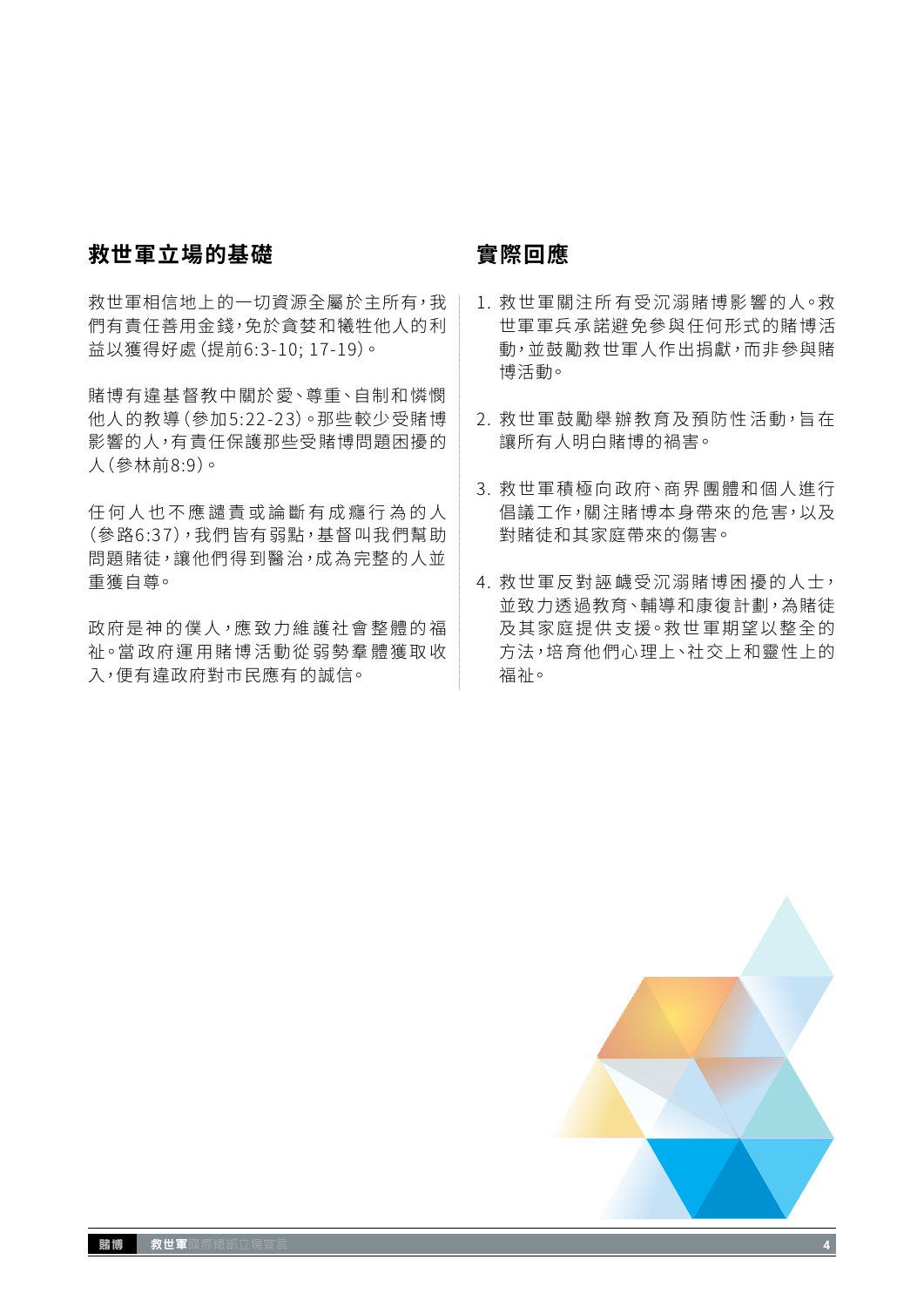### **救世軍立場的基礎**

救世軍相信地上的一切資源全屬於主所有,我 們有責任善用金錢,免於貪婪和犧牲他人的利 益以獲得好處(提前6:3-10; 17-19)。

賭博有違基督教中關於愛、尊重、自制和憐憫 他人的教導(參加5:22 -23)。那些較少受賭博 影響的人,有責任保護那些受賭博問題困擾的 人(參林前8:9)。

任何人也不應譴責或論斷有成癮行為的人 (參路6:37),我們皆有弱點,基督叫我們幫助 問題賭徒,讓他們得到醫治,成為完整的人並 重獲自尊。

政府是神的僕人,應致力維護社會整體的福 祉。當政府運用賭博活動從弱勢羣體獲取收 入,便有違政府對市民應有的誠信。

### **實際回應**

- 1. 救世軍關注所有受沉溺賭博影響的人。救 世軍軍兵承諾避免參與任何形式的賭博活 動,並鼓勵救世軍人作出捐獻,而非參與賭 博活動。
- 2. 救世軍鼓勵舉辦教育及預防性活動, 旨在 讓所有人明白賭博的禍害。
- 3. 救世軍積極向政府、商界團體和個人進行 倡議工作,關注賭博本身帶來的危害,以及 對賭徒和其家庭帶來的傷害。
- 4. 救世軍反對誣衊受沉溺賭博困擾的人士, 並致力透過教育、輔導和康復計劃,為賭徒 及其家庭提供支援。救世軍期望以整全的 方法,培育他們心理上、社交上和靈性上的 福祉。